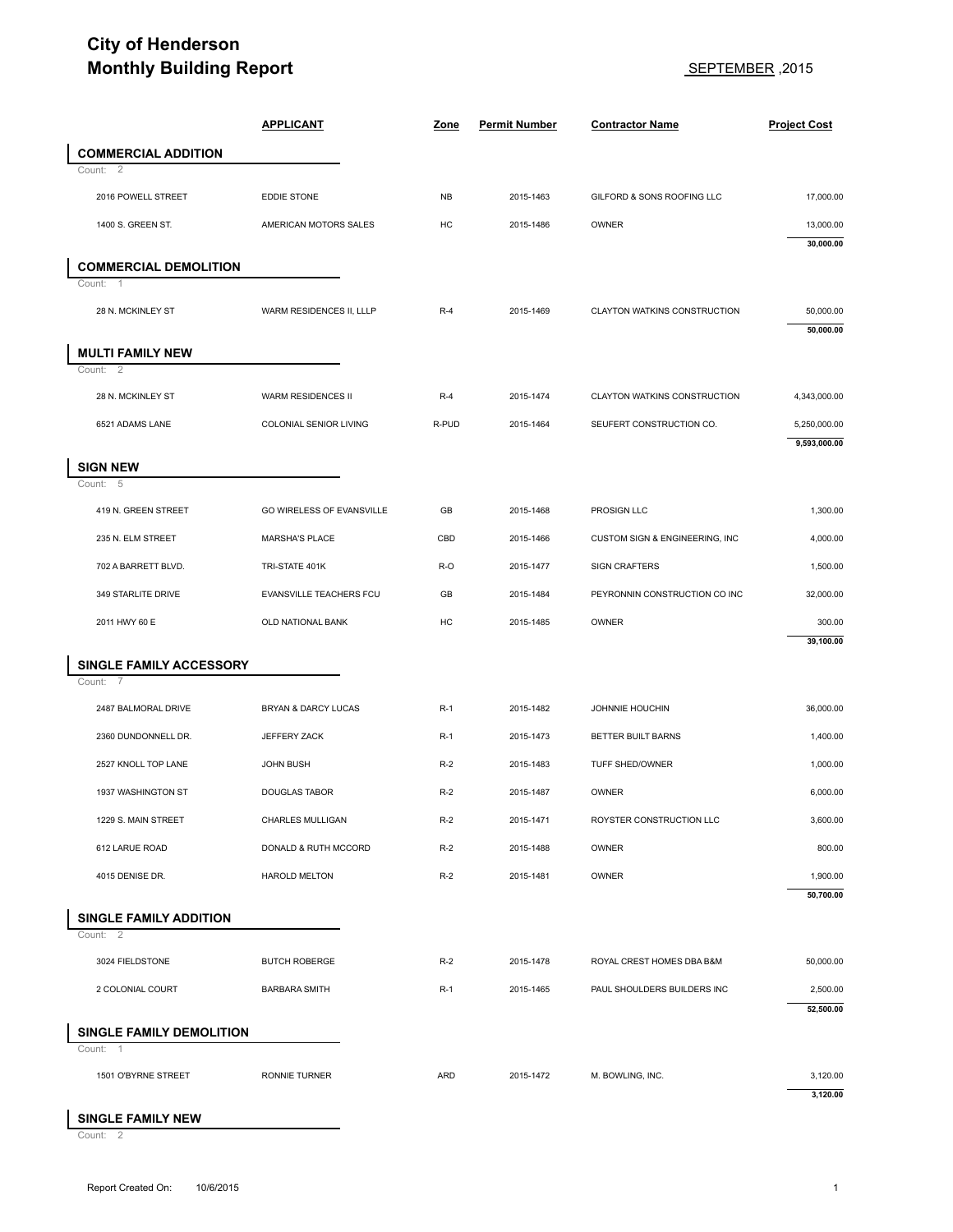## **City of Henderson Monthly Building Report** SEPTEMBER ,2015

| <b>Monthly Building Report</b>         |                           |           | 2015, SEPTEMBER      |                                |                        |
|----------------------------------------|---------------------------|-----------|----------------------|--------------------------------|------------------------|
|                                        | <b>APPLICANT</b>          | Zone      | <b>Permit Number</b> | <b>Contractor Name</b>         | <b>Project Cost</b>    |
| <b>COMMERCIAL ADDITION</b>             |                           |           |                      |                                |                        |
| $\overline{2}$<br>Count:               |                           |           |                      |                                |                        |
| 2016 POWELL STREET                     | EDDIE STONE               | <b>NB</b> | 2015-1463            | GILFORD & SONS ROOFING LLC     | 17,000.00              |
| 1400 S. GREEN ST.                      | AMERICAN MOTORS SALES     | HC        | 2015-1486            | OWNER                          | 13,000.00<br>30,000.00 |
| <b>COMMERCIAL DEMOLITION</b>           |                           |           |                      |                                |                        |
| -1<br>Count:                           |                           |           |                      |                                |                        |
| 28 N. MCKINLEY ST                      | WARM RESIDENCES II, LLLP  | $R-4$     | 2015-1469            | CLAYTON WATKINS CONSTRUCTION   | 50,000.00<br>50,000.00 |
| <b>MULTI FAMILY NEW</b><br>Count: 2    |                           |           |                      |                                |                        |
| 28 N. MCKINLEY ST                      | WARM RESIDENCES II        | $R-4$     | 2015-1474            | CLAYTON WATKINS CONSTRUCTION   | 4,343,000.00           |
| 6521 ADAMS LANE                        | COLONIAL SENIOR LIVING    | R-PUD     | 2015-1464            | SEUFERT CONSTRUCTION CO.       | 5,250,000.00           |
|                                        |                           |           |                      |                                | 9,593,000.00           |
| <b>SIGN NEW</b><br>Count: 5            |                           |           |                      |                                |                        |
| 419 N. GREEN STREET                    | GO WIRELESS OF EVANSVILLE | GB        | 2015-1468            | PROSIGN LLC                    | 1,300.00               |
| 235 N. ELM STREET                      | MARSHA'S PLACE            | CBD       | 2015-1466            | CUSTOM SIGN & ENGINEERING, INC | 4,000.00               |
| 702 A BARRETT BLVD.                    | TRI-STATE 401K            | R-O       | 2015-1477            | <b>SIGN CRAFTERS</b>           | 1,500.00               |
| 349 STARLITE DRIVE                     | EVANSVILLE TEACHERS FCU   | GB        | 2015-1484            | PEYRONNIN CONSTRUCTION CO INC  | 32,000.00              |
| 2011 HWY 60 E                          | OLD NATIONAL BANK         | HC        | 2015-1485            | OWNER                          | 300.00<br>39,100.00    |
| SINGLE FAMILY ACCESSORY<br>Count:<br>7 |                           |           |                      |                                |                        |
| 2487 BALMORAL DRIVE                    | BRYAN & DARCY LUCAS       | $R-1$     | 2015-1482            | JOHNNIE HOUCHIN                | 36,000.00              |
| 2360 DUNDONNELL DR.                    | JEFFERY ZACK              | $R-1$     | 2015-1473            | BETTER BUILT BARNS             | 1,400.00               |
| 2527 KNOLL TOP LANE                    | JOHN BUSH                 | $R-2$     | 2015-1483            | TUFF SHED/OWNER                | 1,000.00               |
| 1937 WASHINGTON ST                     | DOUGLAS TABOR             | $R-2$     | 2015-1487            | OWNER                          | 6,000.00               |
| 1229 S. MAIN STREET                    | CHARLES MULLIGAN          | $R-2$     | 2015-1471            | ROYSTER CONSTRUCTION LLC       | 3,600.00               |
| 612 LARUE ROAD                         | DONALD & RUTH MCCORD      | $R-2$     | 2015-1488            | OWNER                          | 800.00                 |
| 4015 DENISE DR.                        | <b>HAROLD MELTON</b>      | $R-2$     | 2015-1481            | OWNER                          | 1,900.00<br>50,700.00  |
| <b>SINGLE FAMILY ADDITION</b>          |                           |           |                      |                                |                        |
| Count: 2                               |                           |           |                      |                                |                        |
| 3024 FIELDSTONE                        | <b>BUTCH ROBERGE</b>      | $R-2$     | 2015-1478            | ROYAL CREST HOMES DBA B&M      | 50,000.00              |
| 2 COLONIAL COURT                       | <b>BARBARA SMITH</b>      | $R-1$     | 2015-1465            | PAUL SHOULDERS BUILDERS INC    | 2,500.00               |
|                                        |                           |           |                      |                                | 52,500.00              |
| SINGLE FAMILY DEMOLITION<br>Count: 1   |                           |           |                      |                                |                        |
| 1501 O'BYRNE STREET                    | <b>RONNIE TURNER</b>      | ARD       | 2015-1472            | M. BOWLING, INC.               | 3,120.00               |
|                                        |                           |           |                      |                                |                        |

## **SINGLE FAMILY NEW**<br>Count: 2